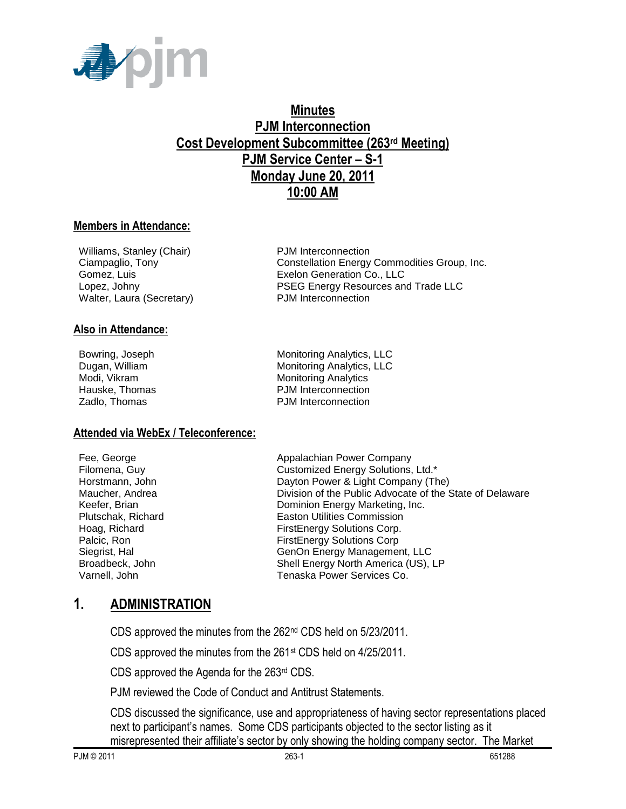

# **Minutes PJM Interconnection Cost Development Subcommittee (263rd Meeting) PJM Service Center – S-1 Monday June 20, 2011 10:00 AM**

### **Members in Attendance:**

Williams, Stanley (Chair) PJM Interconnection Walter, Laura (Secretary) PJM Interconnection

### **Also in Attendance:**

**Attended via WebEx / Teleconference:**

Ciampaglio, Tony Constellation Energy Commodities Group, Inc. Gomez, Luis Exelon Generation Co., LLC Lopez, Johny PSEG Energy Resources and Trade LLC

Bowring, Joseph Monitoring Analytics, LLC Dugan, William Monitoring Analytics, LLC Modi, Vikram **Monitoring Analytics** Monitoring Analytics Hauske, Thomas **PJM** Interconnection Zadlo, Thomas **PJM** Interconnection

Fee, George **Appalachian Power Company** Filomena, Guy Customized Energy Solutions, Ltd.\* Horstmann, John **Dayton Power & Light Company (The)** Maucher, Andrea **Division of the Public Advocate of the State of Delaware** Keefer, Brian **Dominion Energy Marketing, Inc.**<br>
Plutschak, Richard **Dominion Energy Marketing, Inc.**<br>
Easton Utilities Commission **Easton Utilities Commission** Hoag, Richard **FirstEnergy Solutions Corp.** Palcic, Ron FirstEnergy Solutions Corp Siegrist, Hal GenOn Energy Management, LLC Broadbeck, John Shell Energy North America (US), LP Varnell, John Tenaska Power Services Co.

# **1. ADMINISTRATION**

CDS approved the minutes from the 262nd CDS held on 5/23/2011.

CDS approved the minutes from the 261st CDS held on 4/25/2011.

CDS approved the Agenda for the 263rd CDS.

PJM reviewed the Code of Conduct and Antitrust Statements.

CDS discussed the significance, use and appropriateness of having sector representations placed next to participant's names. Some CDS participants objected to the sector listing as it misrepresented their affiliate's sector by only showing the holding company sector. The Market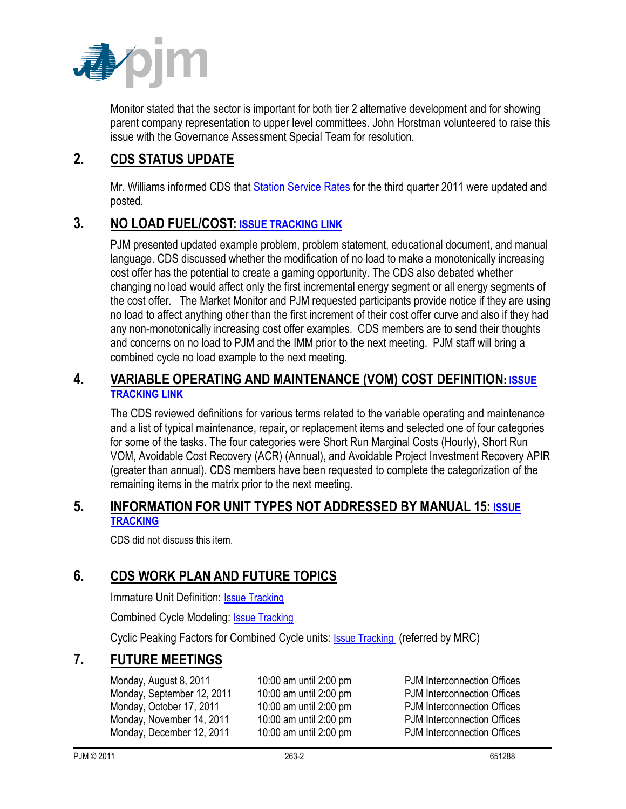

Monitor stated that the sector is important for both tier 2 alternative development and for showing parent company representation to upper level committees. John Horstman volunteered to raise this issue with the Governance Assessment Special Team for resolution.

# **2. CDS STATUS UPDATE**

Mr. Williams informed CDS that [Station Service Rates](http://www.pjm.com/committees-and-groups/subcommittees/cds/starvrts.aspx) for the third quarter 2011 were updated and posted.

# **3. NO LOAD FUEL/COST: [ISSUE TRACKING LINK](http://www.pjm.com/committees-and-groups/issue-tracking/issue-tracking-details.aspx?Issue=%7bB4390F49-FB83-4790-B1E7-89EF1844E073%7d)**

PJM presented updated example problem, problem statement, educational document, and manual language. CDS discussed whether the modification of no load to make a monotonically increasing cost offer has the potential to create a gaming opportunity. The CDS also debated whether changing no load would affect only the first incremental energy segment or all energy segments of the cost offer. The Market Monitor and PJM requested participants provide notice if they are using no load to affect anything other than the first increment of their cost offer curve and also if they had any non-monotonically increasing cost offer examples. CDS members are to send their thoughts and concerns on no load to PJM and the IMM prior to the next meeting. PJM staff will bring a combined cycle no load example to the next meeting.

## **4. VARIABLE OPERATING AND MAINTENANCE (VOM) COST DEFINITION: [ISSUE](http://www.pjm.com/committees-and-groups/issue-tracking/issue-tracking-details.aspx?Issue=%7b189C7210-9A23-4782-A5B5-634A6887CFE1%7d)  [TRACKING LINK](http://www.pjm.com/committees-and-groups/issue-tracking/issue-tracking-details.aspx?Issue=%7b189C7210-9A23-4782-A5B5-634A6887CFE1%7d)**

The CDS reviewed definitions for various terms related to the variable operating and maintenance and a list of typical maintenance, repair, or replacement items and selected one of four categories for some of the tasks. The four categories were Short Run Marginal Costs (Hourly), Short Run VOM, Avoidable Cost Recovery (ACR) (Annual), and Avoidable Project Investment Recovery APIR (greater than annual). CDS members have been requested to complete the categorization of the remaining items in the matrix prior to the next meeting.

## **5. INFORMATION FOR UNIT TYPES NOT ADDRESSED BY MANUAL 15: [ISSUE](http://pjm.com/committees-and-groups/issue-tracking/issue-tracking-details.aspx?Issue=%7b3159C1F6-5498-412A-84F2-D4EA3F5834C6%7d)  [TRACKING](http://pjm.com/committees-and-groups/issue-tracking/issue-tracking-details.aspx?Issue=%7b3159C1F6-5498-412A-84F2-D4EA3F5834C6%7d)**

CDS did not discuss this item.

# **6. CDS WORK PLAN AND FUTURE TOPICS**

Immature Unit Definition: [Issue Tracking](http://pjm.com/committees-and-groups/issue-tracking/issue-tracking-details.aspx?Issue=%7b510DC5A0-8F2D-46B1-8FA4-3D61DC10BA45%7d)

Combined Cycle Modeling: [Issue Tracking](http://pjm.com/committees-and-groups/issue-tracking/issue-tracking-details.aspx?Issue=%7bE5A783B1-FF7A-4A7F-B6CE-3CD2765836F9%7d)

Cyclic Peaking Factors for Combined Cycle units: [Issue Tracking](http://www.pjm.com/committees-and-groups/issue-tracking/issue-tracking-details.aspx?Issue=%7b271B9B61-2DB7-4D21-8C58-20324835B7D2%7d) (referred by MRC)

# **7. FUTURE MEETINGS**

Monday, August 8, 2011 10:00 am until 2:00 pm PJM Interconnection Offices Monday, September 12, 2011 10:00 am until 2:00 pm PJM Interconnection Offices Monday, October 17, 2011 10:00 am until 2:00 pm PJM Interconnection Offices Monday, November 14, 2011 10:00 am until 2:00 pm PJM Interconnection Offices Monday, December 12, 2011 10:00 am until 2:00 pm PJM Interconnection Offices